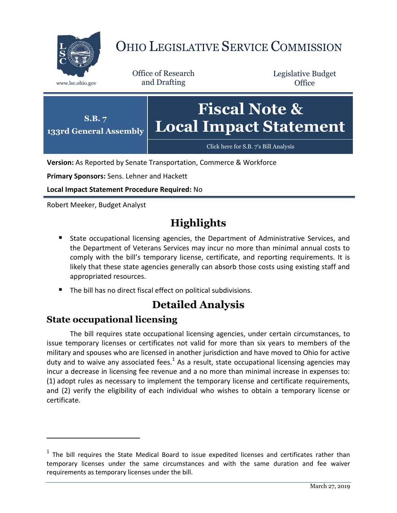

# OHIO LEGISLATIVE SERVICE COMMISSION

Office of Research www.lsc.ohio.gov and Drafting

Legislative Budget **Office** 



**Version:** As Reported by Senate Transportation, Commerce & Workforce

**Primary Sponsors:** Sens. Lehner and Hackett

**Local Impact Statement Procedure Required:** No

Robert Meeker, Budget Analyst

## **Highlights**

- State occupational licensing agencies, the Department of Administrative Services, and the Department of Veterans Services may incur no more than minimal annual costs to comply with the bill's temporary license, certificate, and reporting requirements. It is likely that these state agencies generally can absorb those costs using existing staff and appropriated resources.
- The bill has no direct fiscal effect on political subdivisions.

### **Detailed Analysis**

#### **State occupational licensing**

 $\overline{a}$ 

The bill requires state occupational licensing agencies, under certain circumstances, to issue temporary licenses or certificates not valid for more than six years to members of the military and spouses who are licensed in another jurisdiction and have moved to Ohio for active duty and to waive any associated fees. $^1$  As a result, state occupational licensing agencies may incur a decrease in licensing fee revenue and a no more than minimal increase in expenses to: (1) adopt rules as necessary to implement the temporary license and certificate requirements, and (2) verify the eligibility of each individual who wishes to obtain a temporary license or certificate.

 $1$  The bill requires the State Medical Board to issue expedited licenses and certificates rather than temporary licenses under the same circumstances and with the same duration and fee waiver requirements as temporary licenses under the bill.